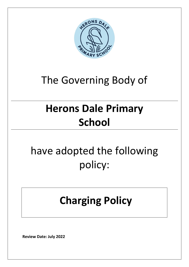

### The Governing Body of

# **Herons Dale Primary School**

# have adopted the following policy:

### **Charging Policy**

 **Review Date: July 2022**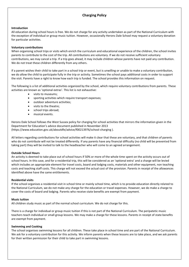### **Charging Policy**

#### **Introduction**

All education during school hours is free. We do not charge for any activity undertaken as part of the National Curriculum with the exception of individual or group music tuition. However, occasionally Herons Dale School may request a voluntary donation for particular activities.

#### **Voluntary contributions**

When organising school trips or visits which enrich the curriculum and educational experience of the children, the school invites parents to contribute to the cost of the trip. All contributions are voluntary. If we do not receive sufficient voluntary contributions, we may cancel a trip. If a trip goes ahead, it may include children whose parents have not paid any contribution. We do not treat these children differently from any others.

If a parent wishes their child to take part in a school trip or event, but is unwilling or unable to make a voluntary contribution, we do allow the child to participate fully in the trip or activity. Sometimes the school pays additional costs in order to support the visit. Parents have a right to know how each trip is funded. The school provides this information on request.

The following is a list of additional activities organized by the school, which require voluntary contributions from parents. These activities are known as 'optional extras'. This list is not exhaustive:

- visits to museums;
- sporting activities which require transport expenses;
- outdoor adventure activities;
- visits to the theatre;
- school trips abroad;
- musical events.

Herons Dale School follows the West Sussex policy for charging for school activities that mirrors the information given in the Department for Education's advice document published in November 2013 (https://www.education.gov.uk/aboutdfe/advice/f00213976/school-charging ).

All letters regarding contributions for school activities will make it clear that these are voluntary, and that children of parents who do not contribute will not be treated differently. If any parents have any financial difficulty (no child will be prevented from taking part) they will be invited to talk to the headteacher who will come to an agreed arrangement.

#### **Outside School Hours**

An activity is deemed to take place out of school hours if 50% or more of the whole time spent on the activity occurs out of school hours. In this case, and for a residential trip, this will be considered as an 'optional extra' and a charge will be levied which includes an appropriate element for travel costs, board and lodging costs, materials and other equipment, non teaching costs and teaching staff costs. This charge will not exceed the actual cost of the provision. Parents in receipt of the allowances identified above have the same entitlements.

#### **Residential visits**

If the school organises a residential visit in school time or mainly school time, which is to provide education directly related to the National Curriculum, we do not make any charge for the education or travel expenses. However, we do make a charge to cover the costs of board and lodging. Parents who receive state benefits are exempt from payment.

#### **Music tuition**

All children study music as part of the normal school curriculum. We do not charge for this.

There is a charge for individual or group music tuition if this is not part of the National Curriculum. The peripatetic music teachers teach individual or small group lessons. We may make a charge for these lessons. Parents in receipt of state benefits are exempt from payment.

#### **Swimming and Cooking**

The school organises swimming lessons for all children. These take place in school time and are part of the National Curriculum. We ask for a voluntary contribution for this activity. We inform parents when these lessons are to take place, and we ask parents for their written permission for their child to take part in swimming lessons.